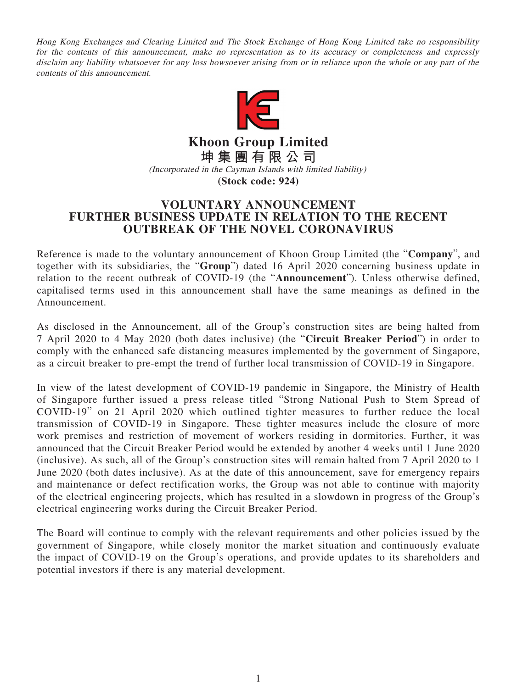Hong Kong Exchanges and Clearing Limited and The Stock Exchange of Hong Kong Limited take no responsibility for the contents of this announcement, make no representation as to its accuracy or completeness and expressly disclaim any liability whatsoever for any loss howsoever arising from or in reliance upon the whole or any part of the contents of this announcement.



**Khoon Group Limited 坤集團有限公司** (Incorporated in the Cayman Islands with limited liability)

**(Stock code: 924)**

## **VOLUNTARY ANNOUNCEMENT FURTHER BUSINESS UPDATE IN RELATION TO THE RECENT OUTBREAK OF THE NOVEL CORONAVIRUS**

Reference is made to the voluntary announcement of Khoon Group Limited (the "**Company**", and together with its subsidiaries, the "**Group**") dated 16 April 2020 concerning business update in relation to the recent outbreak of COVID-19 (the "**Announcement**"). Unless otherwise defined, capitalised terms used in this announcement shall have the same meanings as defined in the Announcement.

As disclosed in the Announcement, all of the Group's construction sites are being halted from 7 April 2020 to 4 May 2020 (both dates inclusive) (the "**Circuit Breaker Period**") in order to comply with the enhanced safe distancing measures implemented by the government of Singapore, as a circuit breaker to pre-empt the trend of further local transmission of COVID-19 in Singapore.

In view of the latest development of COVID-19 pandemic in Singapore, the Ministry of Health of Singapore further issued a press release titled "Strong National Push to Stem Spread of COVID-19" on 21 April 2020 which outlined tighter measures to further reduce the local transmission of COVID-19 in Singapore. These tighter measures include the closure of more work premises and restriction of movement of workers residing in dormitories. Further, it was announced that the Circuit Breaker Period would be extended by another 4 weeks until 1 June 2020 (inclusive). As such, all of the Group's construction sites will remain halted from 7 April 2020 to 1 June 2020 (both dates inclusive). As at the date of this announcement, save for emergency repairs and maintenance or defect rectification works, the Group was not able to continue with majority of the electrical engineering projects, which has resulted in a slowdown in progress of the Group's electrical engineering works during the Circuit Breaker Period.

The Board will continue to comply with the relevant requirements and other policies issued by the government of Singapore, while closely monitor the market situation and continuously evaluate the impact of COVID-19 on the Group's operations, and provide updates to its shareholders and potential investors if there is any material development.